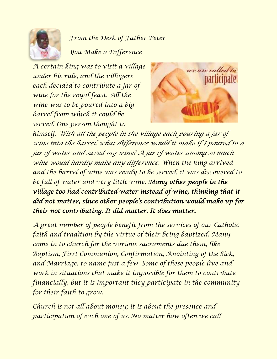

*From the Desk of Father Peter You Make a Difference*

*A certain king was to visit a village under his rule, and the villagers each decided to contribute a jar of wine for the royal feast. All the wine was to be poured into a big barrel from which it could be served. One person thought to*



*himself: With all the people in the village each pouring a jar of wine into the barrel, what difference would it make if I poured in a jar of water and saved my wine? A jar of water among so much wine would hardly make any difference. When the king arrived and the barrel of wine was ready to be served, it was discovered to be full of water and very little wine. Many other people in the village too had contributed water instead of wine, thinking that it did not matter, since other people's contribution would make up for their not contributing. It did matter. It does matter.*

*A great number of people benefit from the services of our Catholic faith and tradition by the virtue of their being baptized. Many come in to church for the various sacraments due them, like Baptism, First Communion, Confirmation, Anointing of the Sick, and Marriage, to name just a few. Some of these people live and work in situations that make it impossible for them to contribute financially, but it is important they participate in the community for their faith to grow.*

*Church is not all about money; it is about the presence and participation of each one of us. No matter how often we call*